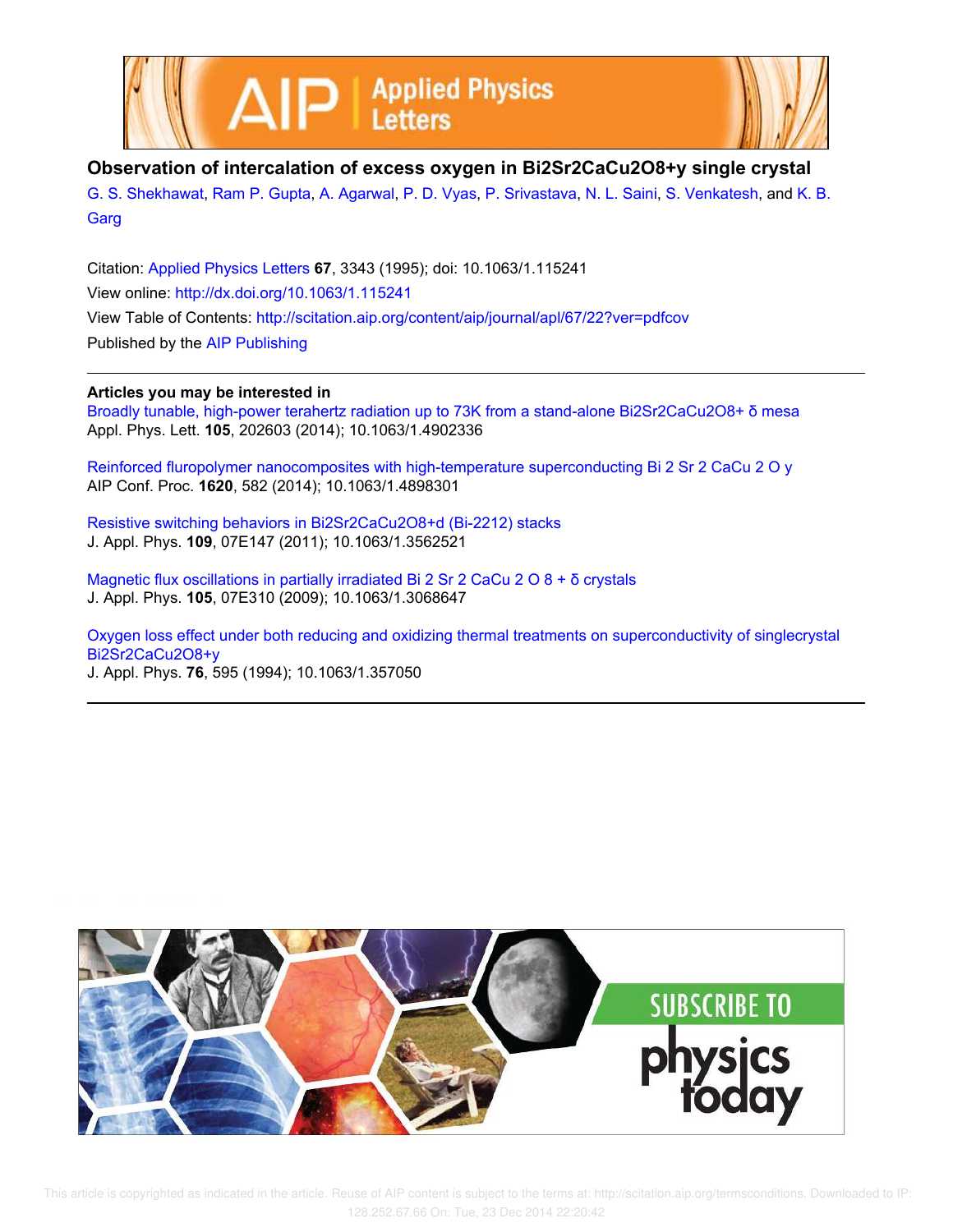



## **Observation of intercalation of excess oxygen in Bi2Sr2CaCu2O8+y single crystal**

G. S. Shekhawat, Ram P. Gupta, A. Agarwal, P. D. Vyas, P. Srivastava, N. L. Saini, S. Venkatesh, and K. B. **Garg** 

Citation: Applied Physics Letters **67**, 3343 (1995); doi: 10.1063/1.115241 View online: http://dx.doi.org/10.1063/1.115241 View Table of Contents: http://scitation.aip.org/content/aip/journal/apl/67/22?ver=pdfcov Published by the AIP Publishing

## **Articles you may be interested in**

Broadly tunable, high-power terahertz radiation up to 73K from a stand-alone Bi2Sr2CaCu2O8+ δ mesa Appl. Phys. Lett. **105**, 202603 (2014); 10.1063/1.4902336

Reinforced fluropolymer nanocomposites with high-temperature superconducting Bi 2 Sr 2 CaCu 2 O y AIP Conf. Proc. **1620**, 582 (2014); 10.1063/1.4898301

Resistive switching behaviors in Bi2Sr2CaCu2O8+d (Bi-2212) stacks J. Appl. Phys. **109**, 07E147 (2011); 10.1063/1.3562521

Magnetic flux oscillations in partially irradiated Bi 2 Sr 2 CaCu 2 O 8 + δ crystals J. Appl. Phys. **105**, 07E310 (2009); 10.1063/1.3068647

Oxygen loss effect under both reducing and oxidizing thermal treatments on superconductivity of singlecrystal Bi2Sr2CaCu2O8+y

J. Appl. Phys. **76**, 595 (1994); 10.1063/1.357050

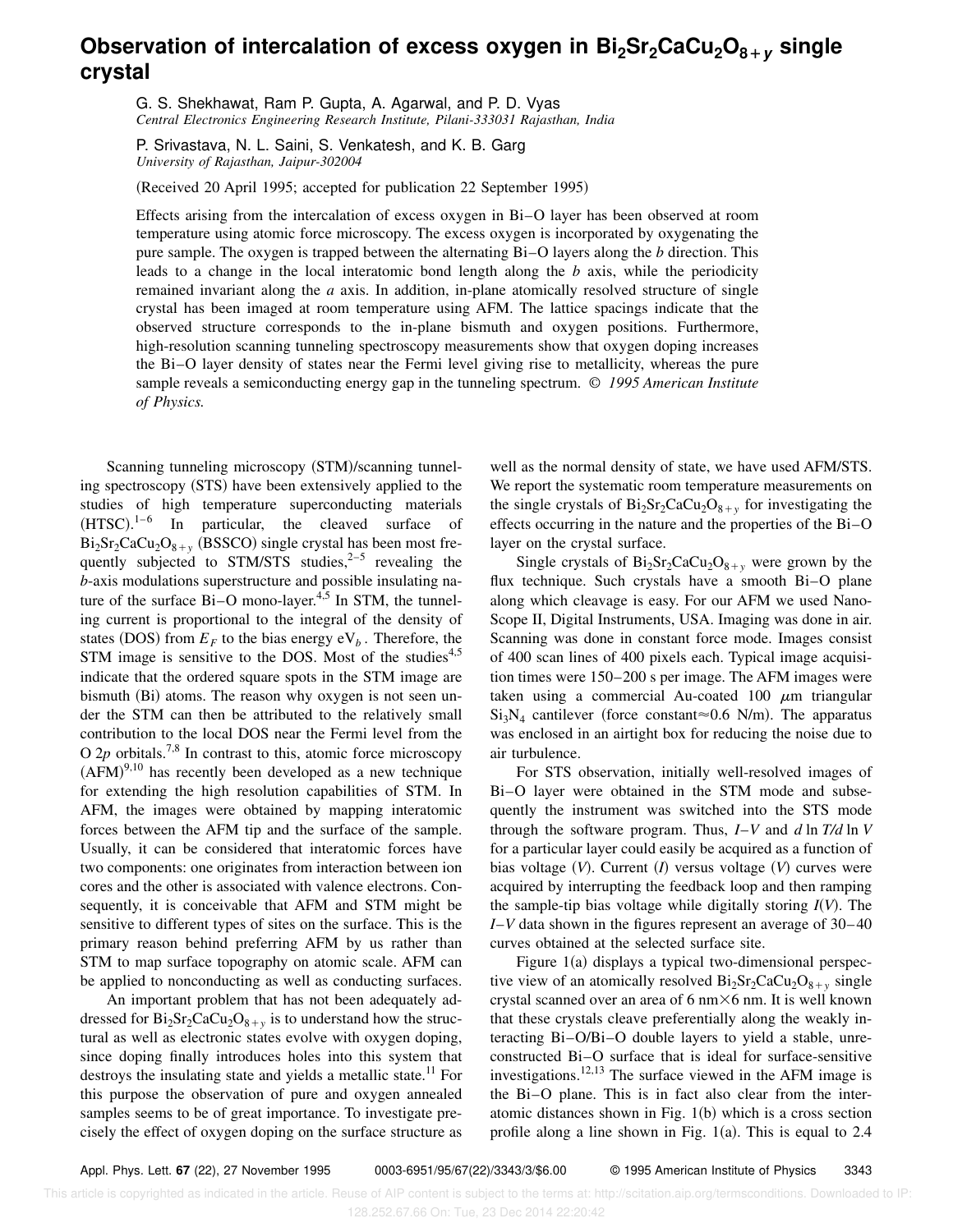## **Observation of intercalation of excess oxygen in Bi2Sr2CaCu2O8**1**<sup>y</sup> single crystal**

G. S. Shekhawat, Ram P. Gupta, A. Agarwal, and P. D. Vyas *Central Electronics Engineering Research Institute, Pilani-333031 Rajasthan, India*

P. Srivastava, N. L. Saini, S. Venkatesh, and K. B. Garg *University of Rajasthan, Jaipur-302004*

(Received 20 April 1995; accepted for publication 22 September 1995)

Effects arising from the intercalation of excess oxygen in Bi–O layer has been observed at room temperature using atomic force microscopy. The excess oxygen is incorporated by oxygenating the pure sample. The oxygen is trapped between the alternating Bi–O layers along the *b* direction. This leads to a change in the local interatomic bond length along the *b* axis, while the periodicity remained invariant along the *a* axis. In addition, in-plane atomically resolved structure of single crystal has been imaged at room temperature using AFM. The lattice spacings indicate that the observed structure corresponds to the in-plane bismuth and oxygen positions. Furthermore, high-resolution scanning tunneling spectroscopy measurements show that oxygen doping increases the Bi–O layer density of states near the Fermi level giving rise to metallicity, whereas the pure sample reveals a semiconducting energy gap in the tunneling spectrum. © *1995 American Institute of Physics.*

Scanning tunneling microscopy  $(STM)/scanning$  tunneling spectroscopy (STS) have been extensively applied to the studies of high temperature superconducting materials  $(HTSC).^{1-6}$  In particular, the cleaved surface of  $Bi_2Sr_2CaCu_2O_{8+y}$  (BSSCO) single crystal has been most frequently subjected to STM/STS studies, $2-5$  revealing the *b*-axis modulations superstructure and possible insulating nature of the surface  $Bi-O$  mono-layer. $4.5$  In STM, the tunneling current is proportional to the integral of the density of states (DOS) from  $E_F$  to the bias energy eV<sub>b</sub>. Therefore, the STM image is sensitive to the DOS. Most of the studies $4.5$ indicate that the ordered square spots in the STM image are bismuth (Bi) atoms. The reason why oxygen is not seen under the STM can then be attributed to the relatively small contribution to the local DOS near the Fermi level from the O 2*p* orbitals.<sup>7,8</sup> In contrast to this, atomic force microscopy  $(AFM)^{9,10}$  has recently been developed as a new technique for extending the high resolution capabilities of STM. In AFM, the images were obtained by mapping interatomic forces between the AFM tip and the surface of the sample. Usually, it can be considered that interatomic forces have two components: one originates from interaction between ion cores and the other is associated with valence electrons. Consequently, it is conceivable that AFM and STM might be sensitive to different types of sites on the surface. This is the primary reason behind preferring AFM by us rather than STM to map surface topography on atomic scale. AFM can be applied to nonconducting as well as conducting surfaces.

An important problem that has not been adequately addressed for  $Bi_2Sr_2CaCu_2O_{8+y}$  is to understand how the structural as well as electronic states evolve with oxygen doping, since doping finally introduces holes into this system that destroys the insulating state and yields a metallic state.<sup>11</sup> For this purpose the observation of pure and oxygen annealed samples seems to be of great importance. To investigate precisely the effect of oxygen doping on the surface structure as well as the normal density of state, we have used AFM/STS. We report the systematic room temperature measurements on the single crystals of  $Bi_2Sr_2CaCu_2O_{8+y}$  for investigating the effects occurring in the nature and the properties of the Bi–O layer on the crystal surface.

Single crystals of  $Bi_2Sr_2CaCu_2O_{8+y}$  were grown by the flux technique. Such crystals have a smooth Bi–O plane along which cleavage is easy. For our AFM we used Nano-Scope II, Digital Instruments, USA. Imaging was done in air. Scanning was done in constant force mode. Images consist of 400 scan lines of 400 pixels each. Typical image acquisition times were 150–200 s per image. The AFM images were taken using a commercial Au-coated 100  $\mu$ m triangular  $Si<sub>3</sub>N<sub>4</sub>$  cantilever (force constant $\approx$  0.6 N/m). The apparatus was enclosed in an airtight box for reducing the noise due to air turbulence.

For STS observation, initially well-resolved images of Bi–O layer were obtained in the STM mode and subsequently the instrument was switched into the STS mode through the software program. Thus, *I*–*V* and *d* ln *T/d* ln *V* for a particular layer could easily be acquired as a function of bias voltage  $(V)$ . Current  $(I)$  versus voltage  $(V)$  curves were acquired by interrupting the feedback loop and then ramping the sample-tip bias voltage while digitally storing  $I(V)$ . The *I*–*V* data shown in the figures represent an average of 30–40 curves obtained at the selected surface site.

Figure  $1(a)$  displays a typical two-dimensional perspective view of an atomically resolved  $Bi_2Sr_2CaCu_2O_{8+y}$  single crystal scanned over an area of  $6 \text{ nm} \times 6 \text{ nm}$ . It is well known that these crystals cleave preferentially along the weakly interacting Bi–O/Bi–O double layers to yield a stable, unreconstructed Bi–O surface that is ideal for surface-sensitive investigations.<sup>12,13</sup> The surface viewed in the AFM image is the Bi–O plane. This is in fact also clear from the interatomic distances shown in Fig.  $1(b)$  which is a cross section profile along a line shown in Fig.  $1(a)$ . This is equal to 2.4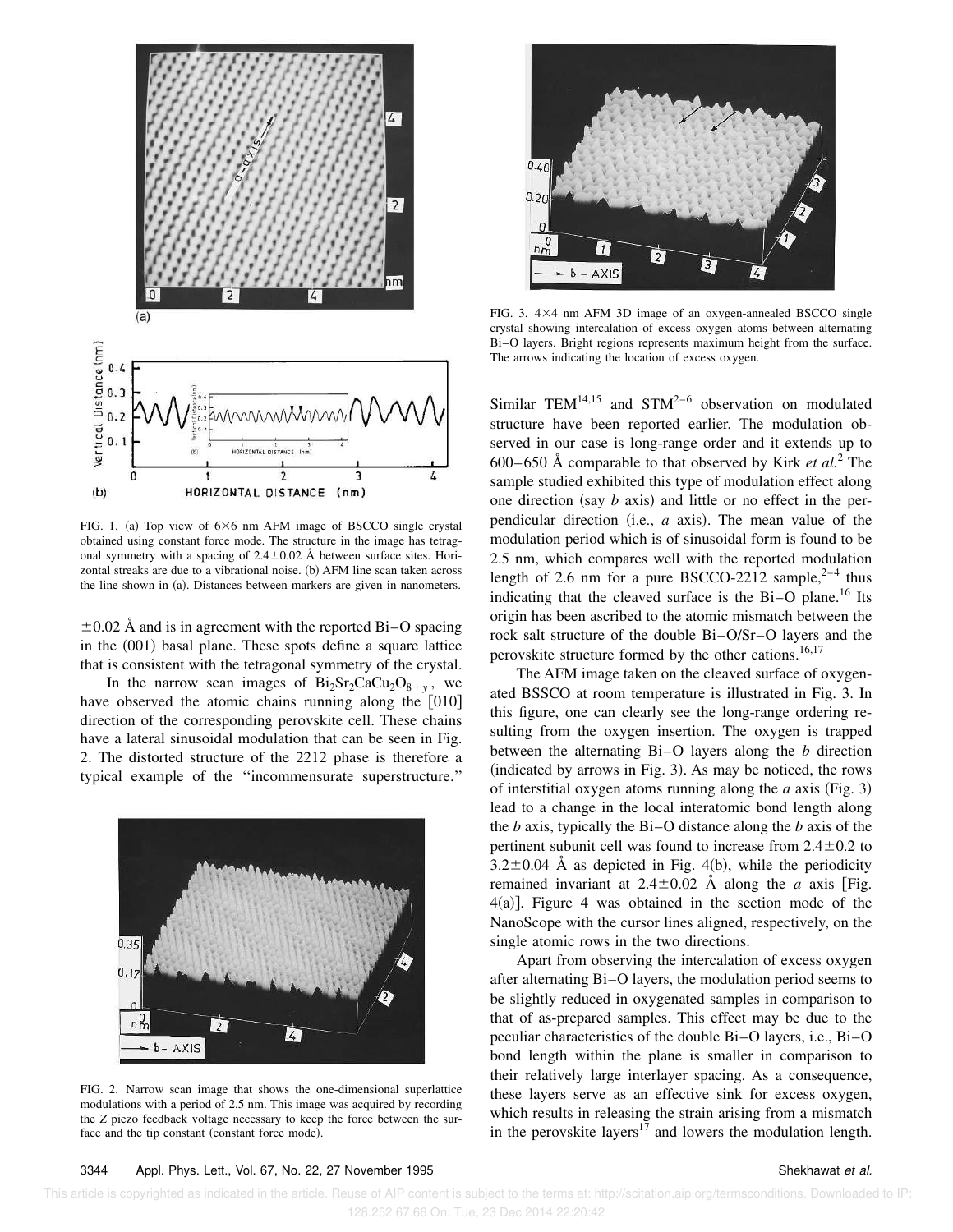

FIG. 1. (a) Top view of  $6\times6$  nm AFM image of BSCCO single crystal obtained using constant force mode. The structure in the image has tetragonal symmetry with a spacing of  $2.4\pm0.02$  Å between surface sites. Horizontal streaks are due to a vibrational noise. (b) AFM line scan taken across the line shown in (a). Distances between markers are given in nanometers.

 $\pm 0.02$  Å and is in agreement with the reported Bi–O spacing in the  $(001)$  basal plane. These spots define a square lattice that is consistent with the tetragonal symmetry of the crystal.

In the narrow scan images of  $Bi_2Sr_2CaCu_2O_{8+y}$ , we have observed the atomic chains running along the  $[010]$ direction of the corresponding perovskite cell. These chains have a lateral sinusoidal modulation that can be seen in Fig. 2. The distorted structure of the 2212 phase is therefore a typical example of the ''incommensurate superstructure.''



FIG. 2. Narrow scan image that shows the one-dimensional superlattice modulations with a period of 2.5 nm. This image was acquired by recording the *Z* piezo feedback voltage necessary to keep the force between the surface and the tip constant (constant force mode).



FIG. 3.  $4\times4$  nm AFM 3D image of an oxygen-annealed BSCCO single crystal showing intercalation of excess oxygen atoms between alternating Bi–O layers. Bright regions represents maximum height from the surface. The arrows indicating the location of excess oxygen.

Similar TEM<sup>14,15</sup> and STM<sup>2-6</sup> observation on modulated structure have been reported earlier. The modulation observed in our case is long-range order and it extends up to 600–650 Å comparable to that observed by Kirk *et al.*<sup>2</sup> The sample studied exhibited this type of modulation effect along one direction  $(say \, b \, axis)$  and little or no effect in the perpendicular direction (i.e., *a* axis). The mean value of the modulation period which is of sinusoidal form is found to be 2.5 nm, which compares well with the reported modulation length of 2.6 nm for a pure BSCCO-2212 sample, $2^{-4}$  thus indicating that the cleaved surface is the  $Bi-O$  plane.<sup>16</sup> Its origin has been ascribed to the atomic mismatch between the rock salt structure of the double Bi–O/Sr–O layers and the perovskite structure formed by the other cations.<sup>16,17</sup>

The AFM image taken on the cleaved surface of oxygenated BSSCO at room temperature is illustrated in Fig. 3. In this figure, one can clearly see the long-range ordering resulting from the oxygen insertion. The oxygen is trapped between the alternating Bi–O layers along the *b* direction (indicated by arrows in Fig. 3). As may be noticed, the rows of interstitial oxygen atoms running along the  $a$  axis (Fig. 3) lead to a change in the local interatomic bond length along the *b* axis, typically the Bi–O distance along the *b* axis of the pertinent subunit cell was found to increase from  $2.4\pm0.2$  to  $3.2\pm0.04$  Å as depicted in Fig. 4(b), while the periodicity remained invariant at  $2.4 \pm 0.02$  Å along the *a* axis [Fig.  $4(a)$ ]. Figure 4 was obtained in the section mode of the NanoScope with the cursor lines aligned, respectively, on the single atomic rows in the two directions.

Apart from observing the intercalation of excess oxygen after alternating Bi–O layers, the modulation period seems to be slightly reduced in oxygenated samples in comparison to that of as-prepared samples. This effect may be due to the peculiar characteristics of the double Bi–O layers, i.e., Bi–O bond length within the plane is smaller in comparison to their relatively large interlayer spacing. As a consequence, these layers serve as an effective sink for excess oxygen, which results in releasing the strain arising from a mismatch in the perovskite layers<sup>17</sup> and lowers the modulation length.

3344 Appl. Phys. Lett., Vol. 67, No. 22, 27 November 1995 Shekhawat et al.

 This article is copyrighted as indicated in the article. Reuse of AIP content is subject to the terms at: http://scitation.aip.org/termsconditions. Downloaded to IP: 128.252.67.66 On: Tue, 23 Dec 2014 22:20:42